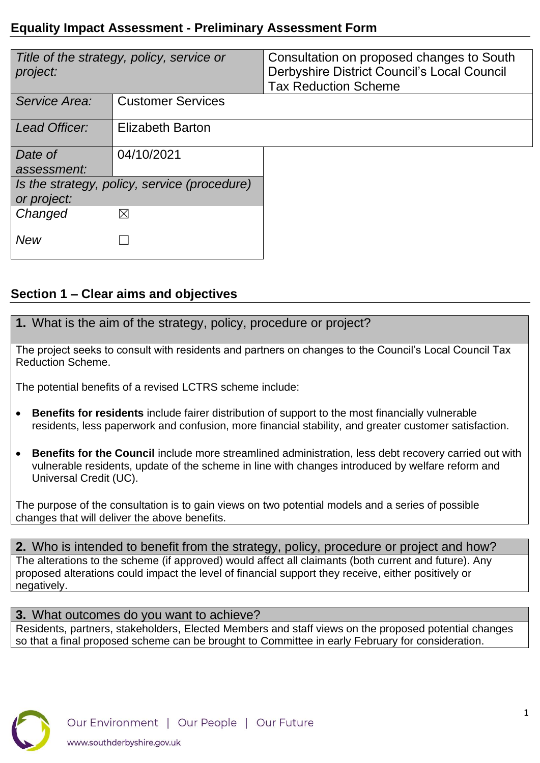# **Equality Impact Assessment - Preliminary Assessment Form**

| Title of the strategy, policy, service or<br>project:       |                          | Consultation on proposed changes to South<br>Derbyshire District Council's Local Council<br><b>Tax Reduction Scheme</b> |
|-------------------------------------------------------------|--------------------------|-------------------------------------------------------------------------------------------------------------------------|
| Service Area:                                               | <b>Customer Services</b> |                                                                                                                         |
| Lead Officer:                                               | <b>Elizabeth Barton</b>  |                                                                                                                         |
| Date of<br>assessment:                                      | 04/10/2021               |                                                                                                                         |
| Is the strategy, policy, service (procedure)<br>or project: |                          |                                                                                                                         |
| Changed                                                     | ⊠                        |                                                                                                                         |
| <b>New</b>                                                  |                          |                                                                                                                         |

# **Section 1 – Clear aims and objectives**

**1.** What is the aim of the strategy, policy, procedure or project?

The project seeks to consult with residents and partners on changes to the Council's Local Council Tax Reduction Scheme.

The potential benefits of a revised LCTRS scheme include:

- **Benefits for residents** include fairer distribution of support to the most financially vulnerable residents, less paperwork and confusion, more financial stability, and greater customer satisfaction.
- **Benefits for the Council** include more streamlined administration, less debt recovery carried out with vulnerable residents, update of the scheme in line with changes introduced by welfare reform and Universal Credit (UC).

The purpose of the consultation is to gain views on two potential models and a series of possible changes that will deliver the above benefits.

#### **2.** Who is intended to benefit from the strategy, policy, procedure or project and how?

The alterations to the scheme (if approved) would affect all claimants (both current and future). Any proposed alterations could impact the level of financial support they receive, either positively or negatively.

#### **3.** What outcomes do you want to achieve?

Residents, partners, stakeholders, Elected Members and staff views on the proposed potential changes so that a final proposed scheme can be brought to Committee in early February for consideration.

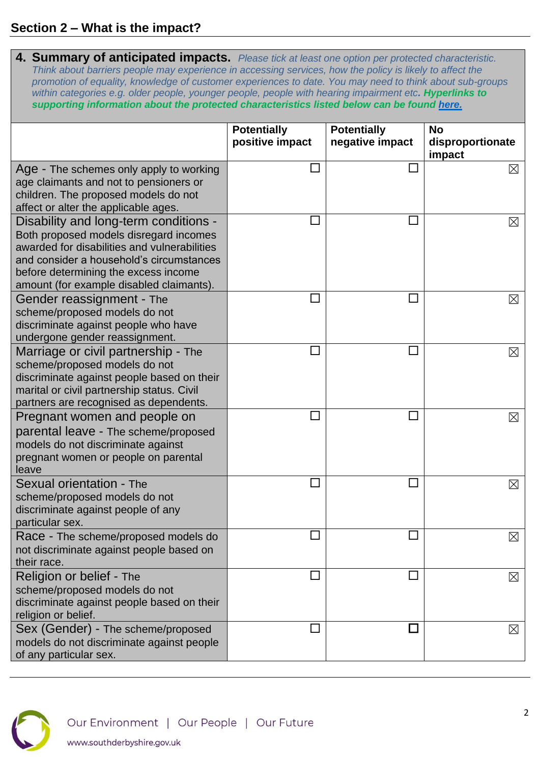| <b>4. Summary of anticipated impacts.</b> Please tick at least one option per protected characteristic.<br>Think about barriers people may experience in accessing services, how the policy is likely to affect the<br>promotion of equality, knowledge of customer experiences to date. You may need to think about sub-groups<br>within categories e.g. older people, younger people, people with hearing impairment etc. Hyperlinks to<br>supporting information about the protected characteristics listed below can be found here. |                                       |                                       |                                         |  |  |  |  |
|-----------------------------------------------------------------------------------------------------------------------------------------------------------------------------------------------------------------------------------------------------------------------------------------------------------------------------------------------------------------------------------------------------------------------------------------------------------------------------------------------------------------------------------------|---------------------------------------|---------------------------------------|-----------------------------------------|--|--|--|--|
|                                                                                                                                                                                                                                                                                                                                                                                                                                                                                                                                         | <b>Potentially</b><br>positive impact | <b>Potentially</b><br>negative impact | <b>No</b><br>disproportionate<br>impact |  |  |  |  |
| Age - The schemes only apply to working<br>age claimants and not to pensioners or<br>children. The proposed models do not<br>affect or alter the applicable ages.                                                                                                                                                                                                                                                                                                                                                                       |                                       | $\Box$                                | $\boxtimes$                             |  |  |  |  |
| Disability and long-term conditions -<br>Both proposed models disregard incomes<br>awarded for disabilities and vulnerabilities<br>and consider a household's circumstances<br>before determining the excess income<br>amount (for example disabled claimants).                                                                                                                                                                                                                                                                         |                                       | $\mathbf{L}$                          | $\boxtimes$                             |  |  |  |  |
| Gender reassignment - The<br>scheme/proposed models do not<br>discriminate against people who have<br>undergone gender reassignment.                                                                                                                                                                                                                                                                                                                                                                                                    |                                       | $\Box$                                | $\boxtimes$                             |  |  |  |  |
| Marriage or civil partnership - The<br>scheme/proposed models do not<br>discriminate against people based on their<br>marital or civil partnership status. Civil<br>partners are recognised as dependents.                                                                                                                                                                                                                                                                                                                              | $\overline{\phantom{a}}$              | $\Box$                                | $\boxtimes$                             |  |  |  |  |
| Pregnant women and people on<br>parental leave - The scheme/proposed<br>models do not discriminate against<br>pregnant women or people on parental<br>leave                                                                                                                                                                                                                                                                                                                                                                             |                                       | П                                     | ⊠                                       |  |  |  |  |
| Sexual orientation - The<br>scheme/proposed models do not<br>discriminate against people of any<br>particular sex.                                                                                                                                                                                                                                                                                                                                                                                                                      |                                       | $\mathsf{L}$                          | ⊠                                       |  |  |  |  |
| Race - The scheme/proposed models do<br>not discriminate against people based on<br>their race.                                                                                                                                                                                                                                                                                                                                                                                                                                         | $\Box$                                | $\Box$                                | ⊠                                       |  |  |  |  |
| Religion or belief - The<br>scheme/proposed models do not<br>discriminate against people based on their<br>religion or belief.                                                                                                                                                                                                                                                                                                                                                                                                          | $\Box$                                | $\Box$                                | $\boxtimes$                             |  |  |  |  |
| Sex (Gender) - The scheme/proposed<br>models do not discriminate against people<br>of any particular sex.                                                                                                                                                                                                                                                                                                                                                                                                                               |                                       |                                       | ⊠                                       |  |  |  |  |